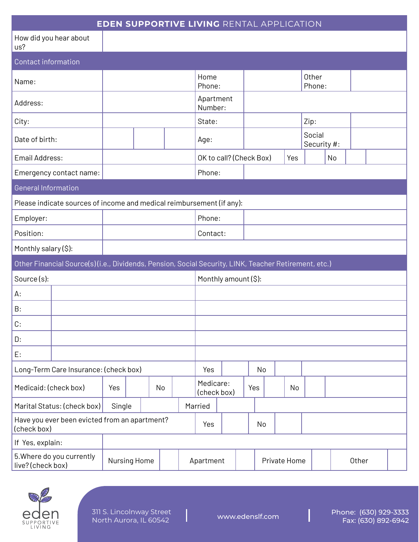| <b>EDEN SUPPORTIVE LIVING RENTAL APPLICATION</b>                                                     |              |  |     |          |                          |    |    |              |  |     |                       |    |       |  |  |
|------------------------------------------------------------------------------------------------------|--------------|--|-----|----------|--------------------------|----|----|--------------|--|-----|-----------------------|----|-------|--|--|
| How did you hear about<br>us?                                                                        |              |  |     |          |                          |    |    |              |  |     |                       |    |       |  |  |
| <b>Contact information</b>                                                                           |              |  |     |          |                          |    |    |              |  |     |                       |    |       |  |  |
| Name:                                                                                                |              |  |     |          | Home<br>Phone:           |    |    |              |  |     | Other<br>Phone:       |    |       |  |  |
| Address:                                                                                             |              |  |     |          | Apartment<br>Number:     |    |    |              |  |     |                       |    |       |  |  |
| City:                                                                                                |              |  |     |          | State:                   |    |    |              |  |     | Zip:                  |    |       |  |  |
| Date of birth:                                                                                       |              |  |     |          | Age:                     |    |    |              |  |     | Social<br>Security #: |    |       |  |  |
| Email Address:                                                                                       |              |  |     |          | OK to call? (Check Box)  |    |    |              |  | Yes |                       | No |       |  |  |
| Emergency contact name:                                                                              |              |  |     |          | Phone:                   |    |    |              |  |     |                       |    |       |  |  |
| <b>General Information</b>                                                                           |              |  |     |          |                          |    |    |              |  |     |                       |    |       |  |  |
| Please indicate sources of income and medical reimbursement (if any):                                |              |  |     |          |                          |    |    |              |  |     |                       |    |       |  |  |
| Employer:                                                                                            |              |  |     |          | Phone:                   |    |    |              |  |     |                       |    |       |  |  |
| Position:                                                                                            |              |  |     | Contact: |                          |    |    |              |  |     |                       |    |       |  |  |
| Monthly salary (\$):                                                                                 |              |  |     |          |                          |    |    |              |  |     |                       |    |       |  |  |
| Other Financial Source(s)(i.e., Dividends, Pension, Social Security, LINK, Teacher Retirement, etc.) |              |  |     |          |                          |    |    |              |  |     |                       |    |       |  |  |
| Source(s):                                                                                           |              |  |     |          | Monthly amount (\$):     |    |    |              |  |     |                       |    |       |  |  |
| А:                                                                                                   |              |  |     |          |                          |    |    |              |  |     |                       |    |       |  |  |
| B:                                                                                                   |              |  |     |          |                          |    |    |              |  |     |                       |    |       |  |  |
| C:                                                                                                   |              |  |     |          |                          |    |    |              |  |     |                       |    |       |  |  |
| D:                                                                                                   |              |  |     |          |                          |    |    |              |  |     |                       |    |       |  |  |
| E:                                                                                                   |              |  |     |          |                          |    |    |              |  |     |                       |    |       |  |  |
| Long-Term Care Insurance: (check box)                                                                |              |  |     | Yes      |                          |    | No |              |  |     |                       |    |       |  |  |
| Medicaid: (check box)                                                                                | Yes          |  | No  |          | Medicare:<br>(check box) |    |    | Yes          |  | No  |                       |    |       |  |  |
| Marital Status: (check box)<br>Single                                                                |              |  |     |          | Married                  |    |    |              |  |     |                       |    |       |  |  |
| Have you ever been evicted from an apartment?<br>(check box)                                         |              |  | Yes |          |                          | No |    |              |  |     |                       |    |       |  |  |
| If Yes, explain:                                                                                     |              |  |     |          |                          |    |    |              |  |     |                       |    |       |  |  |
| 5. Where do you currently<br>live? (check box)                                                       | Nursing Home |  |     |          | Apartment                |    |    | Private Home |  |     |                       |    | Other |  |  |



 $\begin{array}{c} \end{array}$